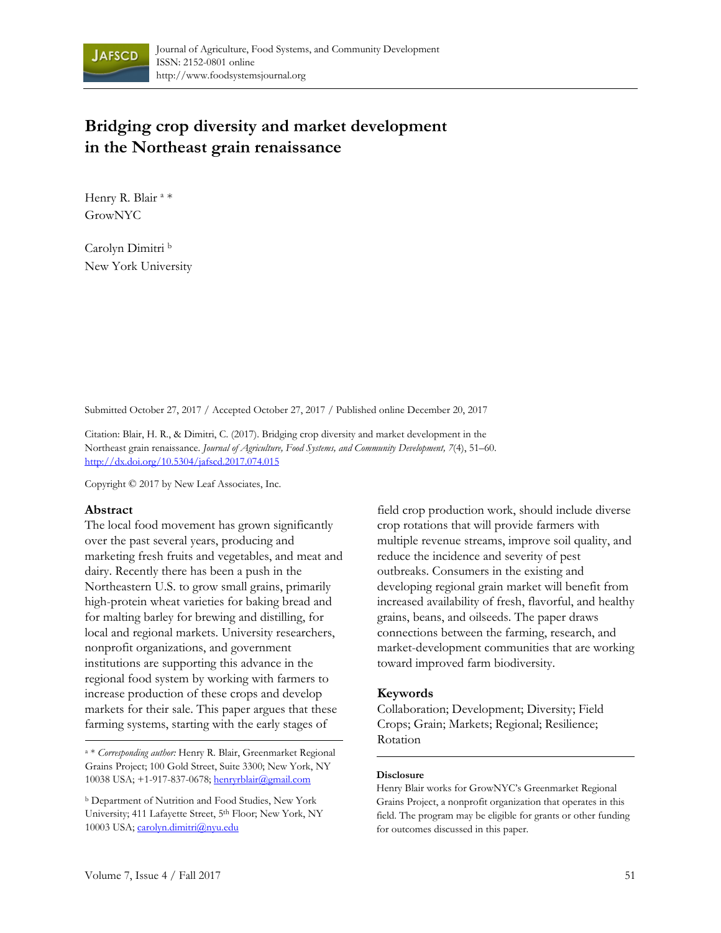

# **Bridging crop diversity and market development in the Northeast grain renaissance**

Henry R. Blair<sup>a</sup>\* GrowNYC

Carolyn Dimitri b New York University

Submitted October 27, 2017 / Accepted October 27, 2017 / Published online December 20, 2017

Citation: Blair, H. R., & Dimitri, C. (2017). Bridging crop diversity and market development in the Northeast grain renaissance. *Journal of Agriculture, Food Systems, and Community Development, 7*(4), 51–60. http://dx.doi.org/10.5304/jafscd.2017.074.015

Copyright © 2017 by New Leaf Associates, Inc.

### **Abstract**

The local food movement has grown significantly over the past several years, producing and marketing fresh fruits and vegetables, and meat and dairy. Recently there has been a push in the Northeastern U.S. to grow small grains, primarily high-protein wheat varieties for baking bread and for malting barley for brewing and distilling, for local and regional markets. University researchers, nonprofit organizations, and government institutions are supporting this advance in the regional food system by working with farmers to increase production of these crops and develop markets for their sale. This paper argues that these farming systems, starting with the early stages of

Rotation a \* *Corresponding author:* Henry R. Blair, Greenmarket Regional Grains Project; 100 Gold Street, Suite 3300; New York, NY 10038 USA; +1-917-837-0678; henryrblair@gmail.com

field crop production work, should include diverse crop rotations that will provide farmers with multiple revenue streams, improve soil quality, and reduce the incidence and severity of pest outbreaks. Consumers in the existing and developing regional grain market will benefit from increased availability of fresh, flavorful, and healthy grains, beans, and oilseeds. The paper draws connections between the farming, research, and market-development communities that are working toward improved farm biodiversity.

### **Keywords**

Collaboration; Development; Diversity; Field Crops; Grain; Markets; Regional; Resilience;

### **Disclosure**

Henry Blair works for GrowNYC's Greenmarket Regional Grains Project, a nonprofit organization that operates in this field. The program may be eligible for grants or other funding for outcomes discussed in this paper.

b Department of Nutrition and Food Studies, New York University; 411 Lafayette Street, 5<sup>th</sup> Floor; New York, NY 10003 USA; carolyn.dimitri@nyu.edu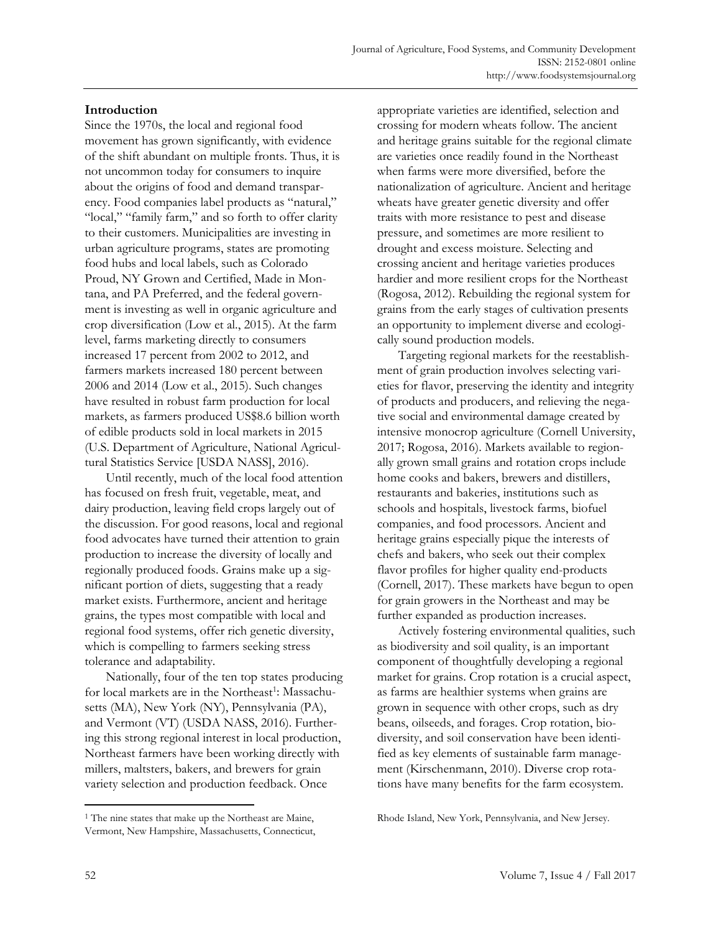# **Introduction**

Since the 1970s, the local and regional food movement has grown significantly, with evidence of the shift abundant on multiple fronts. Thus, it is not uncommon today for consumers to inquire about the origins of food and demand transparency. Food companies label products as "natural," "local," "family farm," and so forth to offer clarity to their customers. Municipalities are investing in urban agriculture programs, states are promoting food hubs and local labels, such as Colorado Proud, NY Grown and Certified, Made in Montana, and PA Preferred, and the federal government is investing as well in organic agriculture and crop diversification (Low et al., 2015). At the farm level, farms marketing directly to consumers increased 17 percent from 2002 to 2012, and farmers markets increased 180 percent between 2006 and 2014 (Low et al., 2015). Such changes have resulted in robust farm production for local markets, as farmers produced US\$8.6 billion worth of edible products sold in local markets in 2015 (U.S. Department of Agriculture, National Agricultural Statistics Service [USDA NASS], 2016).

 Until recently, much of the local food attention has focused on fresh fruit, vegetable, meat, and dairy production, leaving field crops largely out of the discussion. For good reasons, local and regional food advocates have turned their attention to grain production to increase the diversity of locally and regionally produced foods. Grains make up a significant portion of diets, suggesting that a ready market exists. Furthermore, ancient and heritage grains, the types most compatible with local and regional food systems, offer rich genetic diversity, which is compelling to farmers seeking stress tolerance and adaptability.

 Nationally, four of the ten top states producing for local markets are in the Northeast<sup>1</sup>: Massachusetts (MA), New York (NY), Pennsylvania (PA), and Vermont (VT) (USDA NASS, 2016). Furthering this strong regional interest in local production, Northeast farmers have been working directly with millers, maltsters, bakers, and brewers for grain variety selection and production feedback. Once

<sup>1</sup> The nine states that make up the Northeast are Maine, Vermont, New Hampshire, Massachusetts, Connecticut,

appropriate varieties are identified, selection and crossing for modern wheats follow. The ancient and heritage grains suitable for the regional climate are varieties once readily found in the Northeast when farms were more diversified, before the nationalization of agriculture. Ancient and heritage wheats have greater genetic diversity and offer traits with more resistance to pest and disease pressure, and sometimes are more resilient to drought and excess moisture. Selecting and crossing ancient and heritage varieties produces hardier and more resilient crops for the Northeast (Rogosa, 2012). Rebuilding the regional system for grains from the early stages of cultivation presents an opportunity to implement diverse and ecologically sound production models.

 Targeting regional markets for the reestablishment of grain production involves selecting varieties for flavor, preserving the identity and integrity of products and producers, and relieving the negative social and environmental damage created by intensive monocrop agriculture (Cornell University, 2017; Rogosa, 2016). Markets available to regionally grown small grains and rotation crops include home cooks and bakers, brewers and distillers, restaurants and bakeries, institutions such as schools and hospitals, livestock farms, biofuel companies, and food processors. Ancient and heritage grains especially pique the interests of chefs and bakers, who seek out their complex flavor profiles for higher quality end-products (Cornell, 2017). These markets have begun to open for grain growers in the Northeast and may be further expanded as production increases.

 Actively fostering environmental qualities, such as biodiversity and soil quality, is an important component of thoughtfully developing a regional market for grains. Crop rotation is a crucial aspect, as farms are healthier systems when grains are grown in sequence with other crops, such as dry beans, oilseeds, and forages. Crop rotation, biodiversity, and soil conservation have been identified as key elements of sustainable farm management (Kirschenmann, 2010). Diverse crop rotations have many benefits for the farm ecosystem.

Rhode Island, New York, Pennsylvania, and New Jersey.

 $\overline{a}$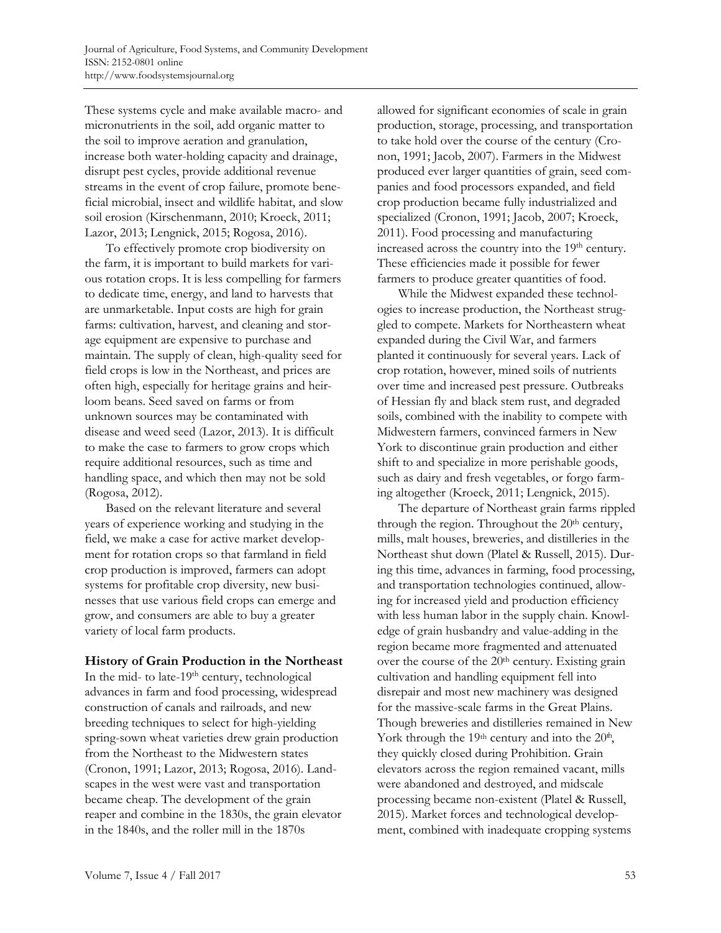These systems cycle and make available macro- and micronutrients in the soil, add organic matter to the soil to improve aeration and granulation, increase both water-holding capacity and drainage, disrupt pest cycles, provide additional revenue streams in the event of crop failure, promote beneficial microbial, insect and wildlife habitat, and slow soil erosion (Kirschenmann, 2010; Kroeck, 2011; Lazor, 2013; Lengnick, 2015; Rogosa, 2016).

 To effectively promote crop biodiversity on the farm, it is important to build markets for various rotation crops. It is less compelling for farmers to dedicate time, energy, and land to harvests that are unmarketable. Input costs are high for grain farms: cultivation, harvest, and cleaning and storage equipment are expensive to purchase and maintain. The supply of clean, high-quality seed for field crops is low in the Northeast, and prices are often high, especially for heritage grains and heirloom beans. Seed saved on farms or from unknown sources may be contaminated with disease and weed seed (Lazor, 2013). It is difficult to make the case to farmers to grow crops which require additional resources, such as time and handling space, and which then may not be sold (Rogosa, 2012).

 Based on the relevant literature and several years of experience working and studying in the field, we make a case for active market development for rotation crops so that farmland in field crop production is improved, farmers can adopt systems for profitable crop diversity, new businesses that use various field crops can emerge and grow, and consumers are able to buy a greater variety of local farm products.

### **History of Grain Production in the Northeast**

In the mid- to late- $19<sup>th</sup>$  century, technological advances in farm and food processing, widespread construction of canals and railroads, and new breeding techniques to select for high-yielding spring-sown wheat varieties drew grain production from the Northeast to the Midwestern states (Cronon, 1991; Lazor, 2013; Rogosa, 2016). Landscapes in the west were vast and transportation became cheap. The development of the grain reaper and combine in the 1830s, the grain elevator in the 1840s, and the roller mill in the 1870s

allowed for significant economies of scale in grain production, storage, processing, and transportation to take hold over the course of the century (Cronon, 1991; Jacob, 2007). Farmers in the Midwest produced ever larger quantities of grain, seed companies and food processors expanded, and field crop production became fully industrialized and specialized (Cronon, 1991; Jacob, 2007; Kroeck, 2011). Food processing and manufacturing increased across the country into the 19<sup>th</sup> century. These efficiencies made it possible for fewer farmers to produce greater quantities of food.

 While the Midwest expanded these technologies to increase production, the Northeast struggled to compete. Markets for Northeastern wheat expanded during the Civil War, and farmers planted it continuously for several years. Lack of crop rotation, however, mined soils of nutrients over time and increased pest pressure. Outbreaks of Hessian fly and black stem rust, and degraded soils, combined with the inability to compete with Midwestern farmers, convinced farmers in New York to discontinue grain production and either shift to and specialize in more perishable goods, such as dairy and fresh vegetables, or forgo farming altogether (Kroeck, 2011; Lengnick, 2015).

 The departure of Northeast grain farms rippled through the region. Throughout the 20<sup>th</sup> century, mills, malt houses, breweries, and distilleries in the Northeast shut down (Platel & Russell, 2015). During this time, advances in farming, food processing, and transportation technologies continued, allowing for increased yield and production efficiency with less human labor in the supply chain. Knowledge of grain husbandry and value-adding in the region became more fragmented and attenuated over the course of the 20<sup>th</sup> century. Existing grain cultivation and handling equipment fell into disrepair and most new machinery was designed for the massive-scale farms in the Great Plains. Though breweries and distilleries remained in New York through the 19<sup>th</sup> century and into the  $20<sup>th</sup>$ , they quickly closed during Prohibition. Grain elevators across the region remained vacant, mills were abandoned and destroyed, and midscale processing became non-existent (Platel & Russell, 2015). Market forces and technological development, combined with inadequate cropping systems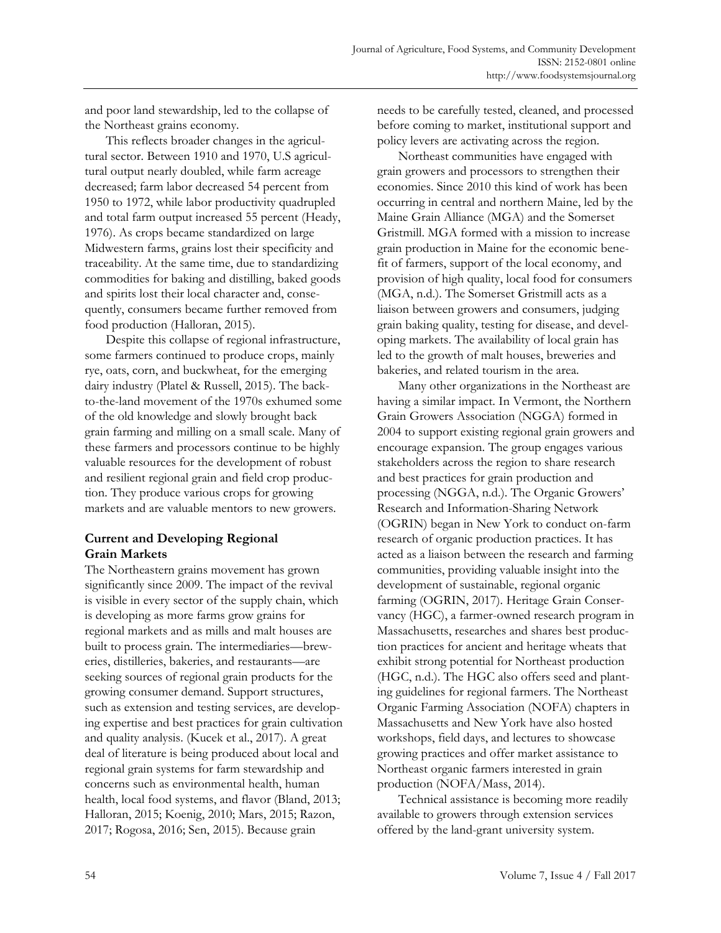and poor land stewardship, led to the collapse of the Northeast grains economy.

 This reflects broader changes in the agricultural sector. Between 1910 and 1970, U.S agricultural output nearly doubled, while farm acreage decreased; farm labor decreased 54 percent from 1950 to 1972, while labor productivity quadrupled and total farm output increased 55 percent (Heady, 1976). As crops became standardized on large Midwestern farms, grains lost their specificity and traceability. At the same time, due to standardizing commodities for baking and distilling, baked goods and spirits lost their local character and, consequently, consumers became further removed from food production (Halloran, 2015).

 Despite this collapse of regional infrastructure, some farmers continued to produce crops, mainly rye, oats, corn, and buckwheat, for the emerging dairy industry (Platel & Russell, 2015). The backto-the-land movement of the 1970s exhumed some of the old knowledge and slowly brought back grain farming and milling on a small scale. Many of these farmers and processors continue to be highly valuable resources for the development of robust and resilient regional grain and field crop production. They produce various crops for growing markets and are valuable mentors to new growers.

# **Current and Developing Regional Grain Markets**

The Northeastern grains movement has grown significantly since 2009. The impact of the revival is visible in every sector of the supply chain, which is developing as more farms grow grains for regional markets and as mills and malt houses are built to process grain. The intermediaries—breweries, distilleries, bakeries, and restaurants—are seeking sources of regional grain products for the growing consumer demand. Support structures, such as extension and testing services, are developing expertise and best practices for grain cultivation and quality analysis. (Kucek et al., 2017). A great deal of literature is being produced about local and regional grain systems for farm stewardship and concerns such as environmental health, human health, local food systems, and flavor (Bland, 2013; Halloran, 2015; Koenig, 2010; Mars, 2015; Razon, 2017; Rogosa, 2016; Sen, 2015). Because grain

needs to be carefully tested, cleaned, and processed before coming to market, institutional support and policy levers are activating across the region.

 Northeast communities have engaged with grain growers and processors to strengthen their economies. Since 2010 this kind of work has been occurring in central and northern Maine, led by the Maine Grain Alliance (MGA) and the Somerset Gristmill. MGA formed with a mission to increase grain production in Maine for the economic benefit of farmers, support of the local economy, and provision of high quality, local food for consumers (MGA, n.d.). The Somerset Gristmill acts as a liaison between growers and consumers, judging grain baking quality, testing for disease, and developing markets. The availability of local grain has led to the growth of malt houses, breweries and bakeries, and related tourism in the area.

 Many other organizations in the Northeast are having a similar impact. In Vermont, the Northern Grain Growers Association (NGGA) formed in 2004 to support existing regional grain growers and encourage expansion. The group engages various stakeholders across the region to share research and best practices for grain production and processing (NGGA, n.d.). The Organic Growers' Research and Information-Sharing Network (OGRIN) began in New York to conduct on-farm research of organic production practices. It has acted as a liaison between the research and farming communities, providing valuable insight into the development of sustainable, regional organic farming (OGRIN, 2017). Heritage Grain Conservancy (HGC), a farmer-owned research program in Massachusetts, researches and shares best production practices for ancient and heritage wheats that exhibit strong potential for Northeast production (HGC, n.d.). The HGC also offers seed and planting guidelines for regional farmers. The Northeast Organic Farming Association (NOFA) chapters in Massachusetts and New York have also hosted workshops, field days, and lectures to showcase growing practices and offer market assistance to Northeast organic farmers interested in grain production (NOFA/Mass, 2014).

 Technical assistance is becoming more readily available to growers through extension services offered by the land-grant university system.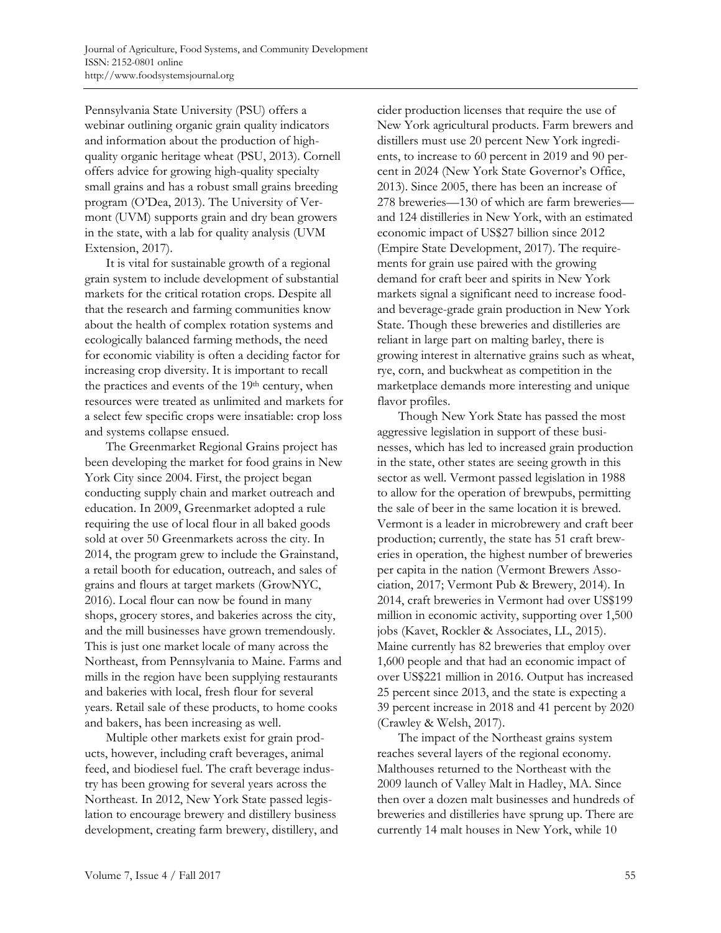Pennsylvania State University (PSU) offers a webinar outlining organic grain quality indicators and information about the production of highquality organic heritage wheat (PSU, 2013). Cornell offers advice for growing high-quality specialty small grains and has a robust small grains breeding program (O'Dea, 2013). The University of Vermont (UVM) supports grain and dry bean growers in the state, with a lab for quality analysis (UVM Extension, 2017).

 It is vital for sustainable growth of a regional grain system to include development of substantial markets for the critical rotation crops. Despite all that the research and farming communities know about the health of complex rotation systems and ecologically balanced farming methods, the need for economic viability is often a deciding factor for increasing crop diversity. It is important to recall the practices and events of the 19th century, when resources were treated as unlimited and markets for a select few specific crops were insatiable: crop loss and systems collapse ensued.

 The Greenmarket Regional Grains project has been developing the market for food grains in New York City since 2004. First, the project began conducting supply chain and market outreach and education. In 2009, Greenmarket adopted a rule requiring the use of local flour in all baked goods sold at over 50 Greenmarkets across the city. In 2014, the program grew to include the Grainstand, a retail booth for education, outreach, and sales of grains and flours at target markets (GrowNYC, 2016). Local flour can now be found in many shops, grocery stores, and bakeries across the city, and the mill businesses have grown tremendously. This is just one market locale of many across the Northeast, from Pennsylvania to Maine. Farms and mills in the region have been supplying restaurants and bakeries with local, fresh flour for several years. Retail sale of these products, to home cooks and bakers, has been increasing as well.

 Multiple other markets exist for grain products, however, including craft beverages, animal feed, and biodiesel fuel. The craft beverage industry has been growing for several years across the Northeast. In 2012, New York State passed legislation to encourage brewery and distillery business development, creating farm brewery, distillery, and cider production licenses that require the use of New York agricultural products. Farm brewers and distillers must use 20 percent New York ingredients, to increase to 60 percent in 2019 and 90 percent in 2024 (New York State Governor's Office, 2013). Since 2005, there has been an increase of 278 breweries—130 of which are farm breweries and 124 distilleries in New York, with an estimated economic impact of US\$27 billion since 2012 (Empire State Development, 2017). The requirements for grain use paired with the growing demand for craft beer and spirits in New York markets signal a significant need to increase foodand beverage-grade grain production in New York State. Though these breweries and distilleries are reliant in large part on malting barley, there is growing interest in alternative grains such as wheat, rye, corn, and buckwheat as competition in the marketplace demands more interesting and unique flavor profiles.

 Though New York State has passed the most aggressive legislation in support of these businesses, which has led to increased grain production in the state, other states are seeing growth in this sector as well. Vermont passed legislation in 1988 to allow for the operation of brewpubs, permitting the sale of beer in the same location it is brewed. Vermont is a leader in microbrewery and craft beer production; currently, the state has 51 craft breweries in operation, the highest number of breweries per capita in the nation (Vermont Brewers Association, 2017; Vermont Pub & Brewery, 2014). In 2014, craft breweries in Vermont had over US\$199 million in economic activity, supporting over 1,500 jobs (Kavet, Rockler & Associates, LL, 2015). Maine currently has 82 breweries that employ over 1,600 people and that had an economic impact of over US\$221 million in 2016. Output has increased 25 percent since 2013, and the state is expecting a 39 percent increase in 2018 and 41 percent by 2020 (Crawley & Welsh, 2017).

 The impact of the Northeast grains system reaches several layers of the regional economy. Malthouses returned to the Northeast with the 2009 launch of Valley Malt in Hadley, MA. Since then over a dozen malt businesses and hundreds of breweries and distilleries have sprung up. There are currently 14 malt houses in New York, while 10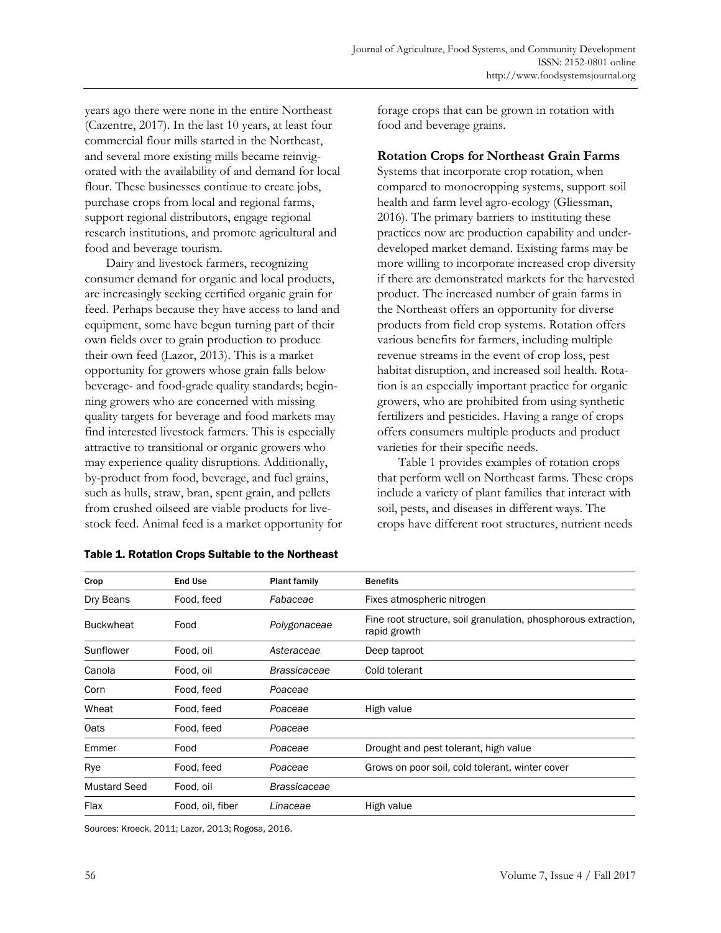years ago there were none in the entire Northeast (Cazentre, 2017). In the last 10 years, at least four commercial flour mills started in the Northeast, and several more existing mills became reinvigorated with the availability of and demand for local flour. These businesses continue to create jobs, purchase crops from local and regional farms, support regional distributors, engage regional research institutions, and promote agricultural and food and beverage tourism.

 Dairy and livestock farmers, recognizing consumer demand for organic and local products, are increasingly seeking certified organic grain for feed. Perhaps because they have access to land and equipment, some have begun turning part of their own fields over to grain production to produce their own feed (Lazor, 2013). This is a market opportunity for growers whose grain falls below beverage- and food-grade quality standards; beginning growers who are concerned with missing quality targets for beverage and food markets may find interested livestock farmers. This is especially attractive to transitional or organic growers who may experience quality disruptions. Additionally, by-product from food, beverage, and fuel grains, such as hulls, straw, bran, spent grain, and pellets from crushed oilseed are viable products for livestock feed. Animal feed is a market opportunity for forage crops that can be grown in rotation with food and beverage grains.

### **Rotation Crops for Northeast Grain Farms**

Systems that incorporate crop rotation, when compared to monocropping systems, support soil health and farm level agro-ecology (Gliessman, 2016). The primary barriers to instituting these practices now are production capability and underdeveloped market demand. Existing farms may be more willing to incorporate increased crop diversity if there are demonstrated markets for the harvested product. The increased number of grain farms in the Northeast offers an opportunity for diverse products from field crop systems. Rotation offers various benefits for farmers, including multiple revenue streams in the event of crop loss, pest habitat disruption, and increased soil health. Rotation is an especially important practice for organic growers, who are prohibited from using synthetic fertilizers and pesticides. Having a range of crops offers consumers multiple products and product varieties for their specific needs.

 Table 1 provides examples of rotation crops that perform well on Northeast farms. These crops include a variety of plant families that interact with soil, pests, and diseases in different ways. The crops have different root structures, nutrient needs

| Crop                | End Use          | <b>Plant family</b> | <b>Benefits</b>                                                                |
|---------------------|------------------|---------------------|--------------------------------------------------------------------------------|
| Dry Beans           | Food, feed       | Fabaceae            | Fixes atmospheric nitrogen                                                     |
| <b>Buckwheat</b>    | Food             | Polygonaceae        | Fine root structure, soil granulation, phosphorous extraction,<br>rapid growth |
| Sunflower           | Food, oil        | Asteraceae          | Deep taproot                                                                   |
| Canola              | Food, oil        | <b>Brassicaceae</b> | Cold tolerant                                                                  |
| Corn                | Food, feed       | Poaceae             |                                                                                |
| Wheat               | Food, feed       | Poaceae             | High value                                                                     |
| Oats                | Food, feed       | Poaceae             |                                                                                |
| Emmer               | Food             | Poaceae             | Drought and pest tolerant, high value                                          |
| Rye                 | Food, feed       | Poaceae             | Grows on poor soil, cold tolerant, winter cover                                |
| <b>Mustard Seed</b> | Food, oil        | <b>Brassicaceae</b> |                                                                                |
| Flax                | Food, oil, fiber | Linaceae            | High value                                                                     |

### Table 1. Rotation Crops Suitable to the Northeast

Sources: Kroeck, 2011; Lazor, 2013; Rogosa, 2016.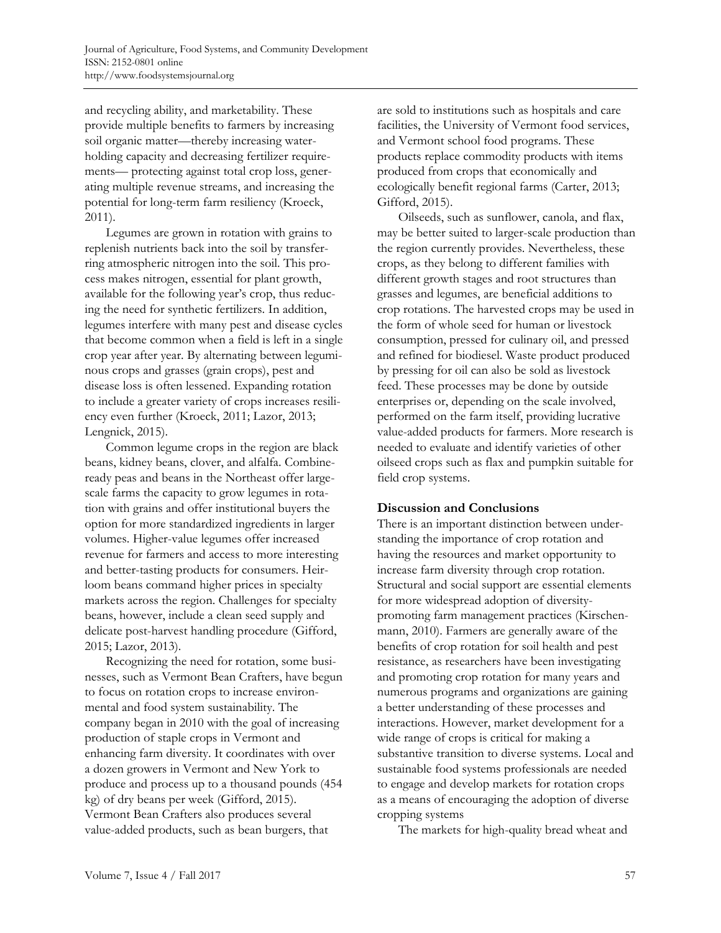and recycling ability, and marketability. These provide multiple benefits to farmers by increasing soil organic matter—thereby increasing waterholding capacity and decreasing fertilizer requirements— protecting against total crop loss, generating multiple revenue streams, and increasing the potential for long-term farm resiliency (Kroeck, 2011).

 Legumes are grown in rotation with grains to replenish nutrients back into the soil by transferring atmospheric nitrogen into the soil. This process makes nitrogen, essential for plant growth, available for the following year's crop, thus reducing the need for synthetic fertilizers. In addition, legumes interfere with many pest and disease cycles that become common when a field is left in a single crop year after year. By alternating between leguminous crops and grasses (grain crops), pest and disease loss is often lessened. Expanding rotation to include a greater variety of crops increases resiliency even further (Kroeck, 2011; Lazor, 2013; Lengnick, 2015).

 Common legume crops in the region are black beans, kidney beans, clover, and alfalfa. Combineready peas and beans in the Northeast offer largescale farms the capacity to grow legumes in rotation with grains and offer institutional buyers the option for more standardized ingredients in larger volumes. Higher-value legumes offer increased revenue for farmers and access to more interesting and better-tasting products for consumers. Heirloom beans command higher prices in specialty markets across the region. Challenges for specialty beans, however, include a clean seed supply and delicate post-harvest handling procedure (Gifford, 2015; Lazor, 2013).

 Recognizing the need for rotation, some businesses, such as Vermont Bean Crafters, have begun to focus on rotation crops to increase environmental and food system sustainability. The company began in 2010 with the goal of increasing production of staple crops in Vermont and enhancing farm diversity. It coordinates with over a dozen growers in Vermont and New York to produce and process up to a thousand pounds (454 kg) of dry beans per week (Gifford, 2015). Vermont Bean Crafters also produces several value-added products, such as bean burgers, that

are sold to institutions such as hospitals and care facilities, the University of Vermont food services, and Vermont school food programs. These products replace commodity products with items produced from crops that economically and ecologically benefit regional farms (Carter, 2013; Gifford, 2015).

 Oilseeds, such as sunflower, canola, and flax, may be better suited to larger-scale production than the region currently provides. Nevertheless, these crops, as they belong to different families with different growth stages and root structures than grasses and legumes, are beneficial additions to crop rotations. The harvested crops may be used in the form of whole seed for human or livestock consumption, pressed for culinary oil, and pressed and refined for biodiesel. Waste product produced by pressing for oil can also be sold as livestock feed. These processes may be done by outside enterprises or, depending on the scale involved, performed on the farm itself, providing lucrative value-added products for farmers. More research is needed to evaluate and identify varieties of other oilseed crops such as flax and pumpkin suitable for field crop systems.

### **Discussion and Conclusions**

There is an important distinction between understanding the importance of crop rotation and having the resources and market opportunity to increase farm diversity through crop rotation. Structural and social support are essential elements for more widespread adoption of diversitypromoting farm management practices (Kirschenmann, 2010). Farmers are generally aware of the benefits of crop rotation for soil health and pest resistance, as researchers have been investigating and promoting crop rotation for many years and numerous programs and organizations are gaining a better understanding of these processes and interactions. However, market development for a wide range of crops is critical for making a substantive transition to diverse systems. Local and sustainable food systems professionals are needed to engage and develop markets for rotation crops as a means of encouraging the adoption of diverse cropping systems

The markets for high-quality bread wheat and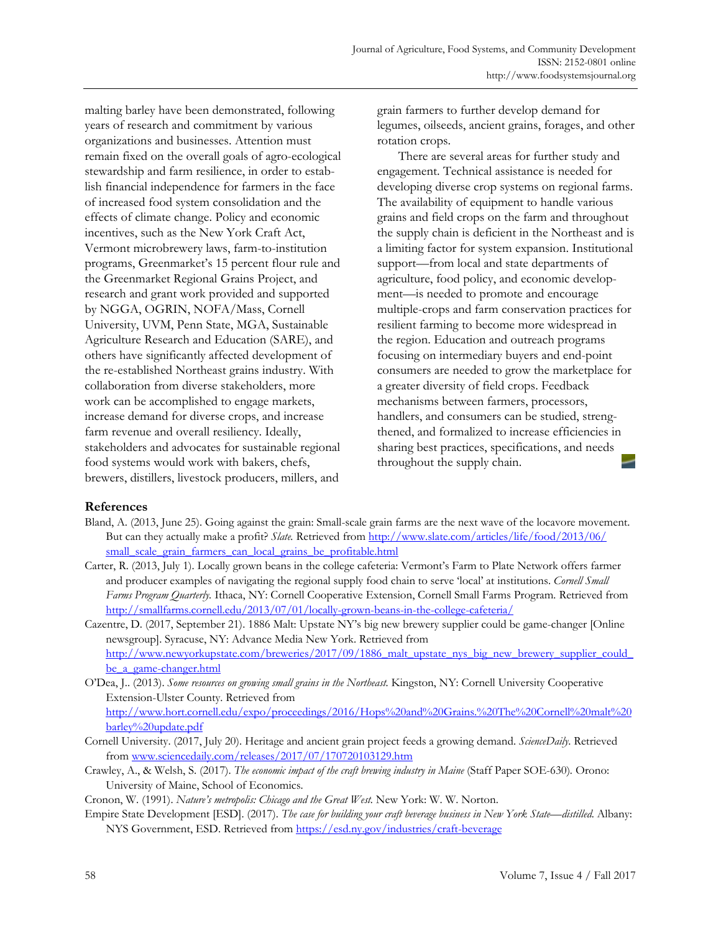malting barley have been demonstrated, following years of research and commitment by various organizations and businesses. Attention must remain fixed on the overall goals of agro-ecological stewardship and farm resilience, in order to establish financial independence for farmers in the face of increased food system consolidation and the effects of climate change. Policy and economic incentives, such as the New York Craft Act, Vermont microbrewery laws, farm-to-institution programs, Greenmarket's 15 percent flour rule and the Greenmarket Regional Grains Project, and research and grant work provided and supported by NGGA, OGRIN, NOFA/Mass, Cornell University, UVM, Penn State, MGA, Sustainable Agriculture Research and Education (SARE), and others have significantly affected development of the re-established Northeast grains industry. With collaboration from diverse stakeholders, more work can be accomplished to engage markets, increase demand for diverse crops, and increase farm revenue and overall resiliency. Ideally, stakeholders and advocates for sustainable regional food systems would work with bakers, chefs, brewers, distillers, livestock producers, millers, and

grain farmers to further develop demand for legumes, oilseeds, ancient grains, forages, and other rotation crops.

 There are several areas for further study and engagement. Technical assistance is needed for developing diverse crop systems on regional farms. The availability of equipment to handle various grains and field crops on the farm and throughout the supply chain is deficient in the Northeast and is a limiting factor for system expansion. Institutional support—from local and state departments of agriculture, food policy, and economic development—is needed to promote and encourage multiple-crops and farm conservation practices for resilient farming to become more widespread in the region. Education and outreach programs focusing on intermediary buyers and end-point consumers are needed to grow the marketplace for a greater diversity of field crops. Feedback mechanisms between farmers, processors, handlers, and consumers can be studied, strengthened, and formalized to increase efficiencies in sharing best practices, specifications, and needs throughout the supply chain.

## **References**

- Bland, A. (2013, June 25). Going against the grain: Small-scale grain farms are the next wave of the locavore movement. But can they actually make a profit? *Slate.* Retrieved from http://www.slate.com/articles/life/food/2013/06/ small\_scale\_grain\_farmers\_can\_local\_grains\_be\_profitable.html
- Carter, R. (2013, July 1). Locally grown beans in the college cafeteria: Vermont's Farm to Plate Network offers farmer and producer examples of navigating the regional supply food chain to serve 'local' at institutions. *Cornell Small Farms Program Quarterly.* Ithaca, NY: Cornell Cooperative Extension, Cornell Small Farms Program*.* Retrieved from http://smallfarms.cornell.edu/2013/07/01/locally-grown-beans-in-the-college-cafeteria/
- Cazentre, D. (2017, September 21). 1886 Malt: Upstate NY's big new brewery supplier could be game-changer [Online newsgroup]. Syracuse, NY: Advance Media New York. Retrieved from http://www.newyorkupstate.com/breweries/2017/09/1886 malt\_upstate\_nys\_big\_new\_brewery\_supplier\_could\_ be\_a\_game-changer.html
- O'Dea, J.. (2013). *Some resources on growing small grains in the Northeast.* Kingston, NY: Cornell University Cooperative Extension-Ulster County. Retrieved from http://www.hort.cornell.edu/expo/proceedings/2016/Hops%20and%20Grains.%20The%20Cornell%20malt%20
- barley%20update.pdf Cornell University. (2017, July 20). Heritage and ancient grain project feeds a growing demand. *ScienceDaily*. Retrieved from www.sciencedaily.com/releases/2017/07/170720103129.htm
- Crawley, A., & Welsh, S. (2017). *The economic impact of the craft brewing industry in Maine* (Staff Paper SOE-630)*.* Orono: University of Maine, School of Economics.

Cronon, W. (1991). *Nature's metropolis: Chicago and the Great West.* New York: W. W. Norton.

Empire State Development [ESD]. (2017). *The case for building your craft beverage business in New York State—distilled.* Albany: NYS Government, ESD. Retrieved from https://esd.ny.gov/industries/craft-beverage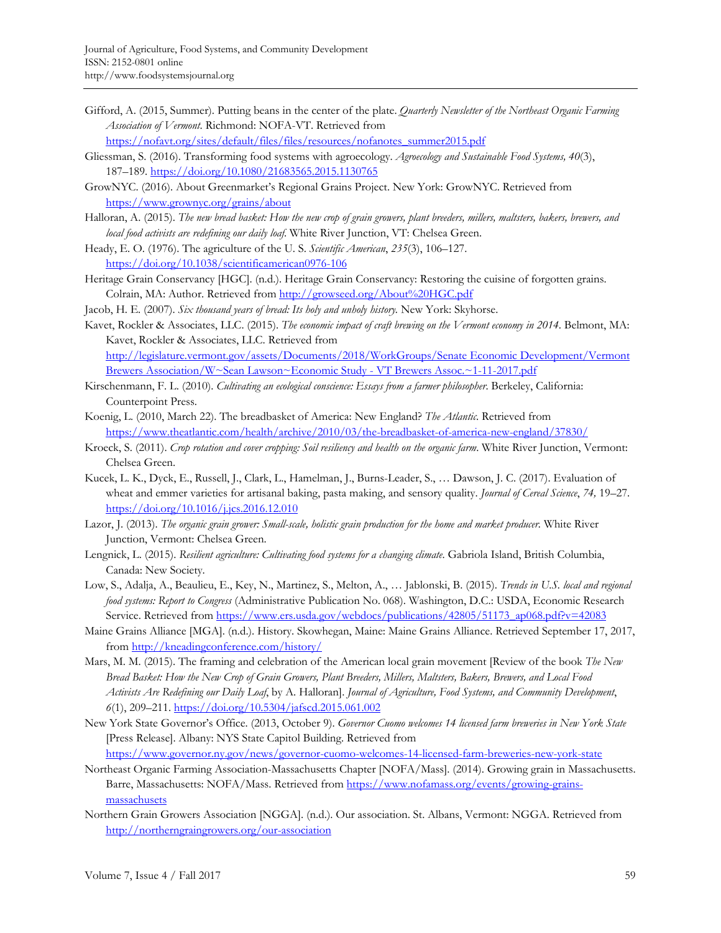Gifford, A. (2015, Summer). Putting beans in the center of the plate. *Quarterly Newsletter of the Northeast Organic Farming Association of Vermont*. Richmond: NOFA-VT. Retrieved from

https://nofavt.org/sites/default/files/files/resources/nofanotes\_summer2015.pdf

- Gliessman, S. (2016). Transforming food systems with agroecology. *Agroecology and Sustainable Food Systems, 40*(3), 187–189. https://doi.org/10.1080/21683565.2015.1130765
- GrowNYC. (2016). About Greenmarket's Regional Grains Project. New York: GrowNYC. Retrieved from https://www.grownyc.org/grains/about
- Halloran, A. (2015). *The new bread basket: How the new crop of grain growers, plant breeders, millers, maltsters, bakers, brewers, and local food activists are redefining our daily loaf*. White River Junction, VT: Chelsea Green.
- Heady, E. O. (1976). The agriculture of the U. S. *Scientific American*, *235*(3), 106–127. https://doi.org/10.1038/scientificamerican0976-106
- Heritage Grain Conservancy [HGC]. (n.d.). Heritage Grain Conservancy: Restoring the cuisine of forgotten grains. Colrain, MA: Author. Retrieved from http://growseed.org/About%20HGC.pdf
- Jacob, H. E. (2007). *Six thousand years of bread: Its holy and unholy history.* New York: Skyhorse.
- Kavet, Rockler & Associates, LLC. (2015). *The economic impact of craft brewing on the Vermont economy in 2014*. Belmont, MA: Kavet, Rockler & Associates, LLC. Retrieved from http://legislature.vermont.gov/assets/Documents/2018/WorkGroups/Senate Economic Development/Vermont Brewers Association/W~Sean Lawson~Economic Study - VT Brewers Assoc.~1-11-2017.pdf
- Kirschenmann, F. L. (2010). *Cultivating an ecological conscience: Essays from a farmer philosopher*. Berkeley, California: Counterpoint Press.
- Koenig, L. (2010, March 22). The breadbasket of America: New England? *The Atlantic*. Retrieved from https://www.theatlantic.com/health/archive/2010/03/the-breadbasket-of-america-new-england/37830/
- Kroeck, S. (2011). *Crop rotation and cover cropping: Soil resiliency and health on the organic farm*. White River Junction, Vermont: Chelsea Green.
- Kucek, L. K., Dyck, E., Russell, J., Clark, L., Hamelman, J., Burns-Leader, S., … Dawson, J. C. (2017). Evaluation of wheat and emmer varieties for artisanal baking, pasta making, and sensory quality. *Journal of Cereal Science*, *74,* 19–27. https://doi.org/10.1016/j.jcs.2016.12.010
- Lazor, J. (2013). *The organic grain grower: Small-scale, holistic grain production for the home and market producer.* White River Junction, Vermont: Chelsea Green.
- Lengnick, L. (2015). *Resilient agriculture: Cultivating food systems for a changing climate*. Gabriola Island, British Columbia, Canada: New Society.
- Low, S., Adalja, A., Beaulieu, E., Key, N., Martinez, S., Melton, A., … Jablonski, B. (2015). *Trends in U.S. local and regional food systems: Report to Congress* (Administrative Publication No. 068). Washington, D.C.: USDA, Economic Research Service. Retrieved from https://www.ers.usda.gov/webdocs/publications/42805/51173\_ap068.pdf?v=42083
- Maine Grains Alliance [MGA]. (n.d.). History. Skowhegan, Maine: Maine Grains Alliance. Retrieved September 17, 2017, from http://kneadingconference.com/history/
- Mars, M. M. (2015). The framing and celebration of the American local grain movement [Review of the book *The New Bread Basket: How the New Crop of Grain Growers, Plant Breeders, Millers, Maltsters, Bakers, Brewers, and Local Food Activists Are Redefining our Daily Loaf*, by A. Halloran]. *Journal of Agriculture, Food Systems, and Community Development*, *6*(1), 209–211. https://doi.org/10.5304/jafscd.2015.061.002
- New York State Governor's Office. (2013, October 9). *Governor Cuomo welcomes 14 licensed farm breweries in New York State*  [Press Release]. Albany: NYS State Capitol Building. Retrieved from

https://www.governor.ny.gov/news/governor-cuomo-welcomes-14-licensed-farm-breweries-new-york-state Northeast Organic Farming Association-Massachusetts Chapter [NOFA/Mass]. (2014). Growing grain in Massachusetts.

- Barre, Massachusetts: NOFA/Mass. Retrieved from https://www.nofamass.org/events/growing-grainsmassachusets
- Northern Grain Growers Association [NGGA]. (n.d.). Our association. St. Albans, Vermont: NGGA. Retrieved from http://northerngraingrowers.org/our-association